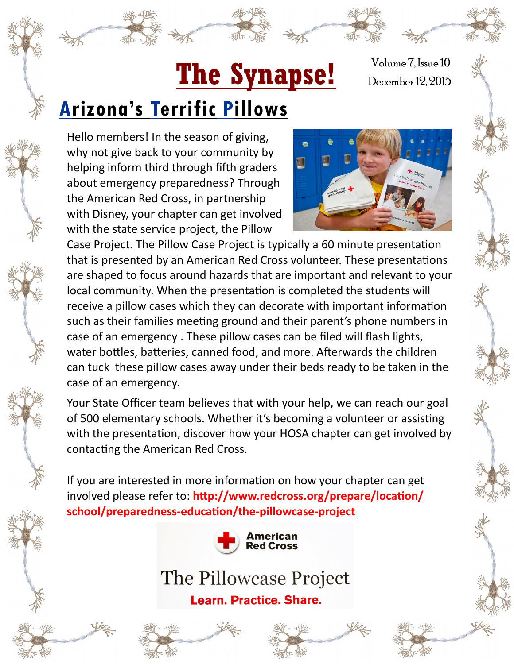# The Synapse! December 12, 2015

Volume 7, Issue 10

## **Arizona's Terrific Pillows**

Hello members! In the season of giving, why not give back to your community by helping inform third through fifth graders about emergency preparedness? Through the American Red Cross, in partnership with Disney, your chapter can get involved with the state service project, the Pillow



Case Project. The Pillow Case Project is typically a 60 minute presentation that is presented by an American Red Cross volunteer. These presentations are shaped to focus around hazards that are important and relevant to your local community. When the presentation is completed the students will receive a pillow cases which they can decorate with important information such as their families meeting ground and their parent's phone numbers in case of an emergency . These pillow cases can be filed will flash lights, water bottles, batteries, canned food, and more. Afterwards the children can tuck these pillow cases away under their beds ready to be taken in the case of an emergency.

Your State Officer team believes that with your help, we can reach our goal of 500 elementary schools. Whether it's becoming a volunteer or assisting with the presentation, discover how your HOSA chapter can get involved by contacting the American Red Cross.

If you are interested in more information on how your chapter can get involved please refer to: **[http://www.redcross.org/prepare/location/](http://www.redcross.org/prepare/location/school/preparedness-education/the-pillowcase-project) [school/preparedness](http://www.redcross.org/prepare/location/school/preparedness-education/the-pillowcase-project)-education/the-pillowcase-project**



#### The Pillowcase Project

**Learn. Practice. Share.** 



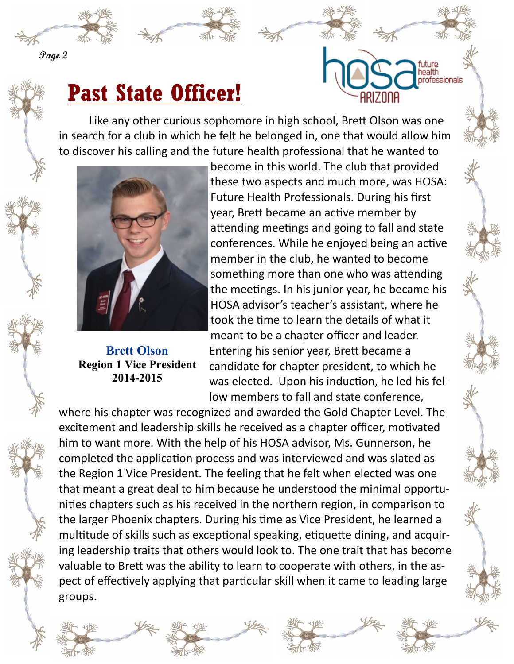

**Page 2**

## **Past State Officer!**

Like any other curious sophomore in high school, Brett Olson was one in search for a club in which he felt he belonged in, one that would allow him to discover his calling and the future health professional that he wanted to



**Brett Olson Region 1 Vice President 2014-2015**

become in this world. The club that provided these two aspects and much more, was HOSA: Future Health Professionals. During his first year, Brett became an active member by attending meetings and going to fall and state conferences. While he enjoyed being an active member in the club, he wanted to become something more than one who was attending the meetings. In his junior year, he became his HOSA advisor's teacher's assistant, where he took the time to learn the details of what it meant to be a chapter officer and leader. Entering his senior year, Brett became a candidate for chapter president, to which he was elected. Upon his induction, he led his fellow members to fall and state conference,

health **ofessionals** 

where his chapter was recognized and awarded the Gold Chapter Level. The excitement and leadership skills he received as a chapter officer, motivated him to want more. With the help of his HOSA advisor, Ms. Gunnerson, he completed the application process and was interviewed and was slated as the Region 1 Vice President. The feeling that he felt when elected was one that meant a great deal to him because he understood the minimal opportunities chapters such as his received in the northern region, in comparison to the larger Phoenix chapters. During his time as Vice President, he learned a multitude of skills such as exceptional speaking, etiquette dining, and acquiring leadership traits that others would look to. The one trait that has become valuable to Brett was the ability to learn to cooperate with others, in the aspect of effectively applying that particular skill when it came to leading large groups.